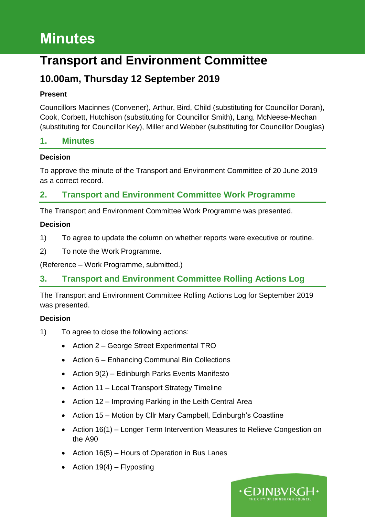# **Minutes**

## **Transport and Environment Committee**

## **10.00am, Thursday 12 September 2019**

## **Present**

Councillors Macinnes (Convener), Arthur, Bird, Child (substituting for Councillor Doran), Cook, Corbett, Hutchison (substituting for Councillor Smith), Lang, McNeese-Mechan (substituting for Councillor Key), Miller and Webber (substituting for Councillor Douglas)

## **1. Minutes**

## **Decision**

To approve the minute of the Transport and Environment Committee of 20 June 2019 as a correct record.

## **2. Transport and Environment Committee Work Programme**

The Transport and Environment Committee Work Programme was presented.

## **Decision**

- 1) To agree to update the column on whether reports were executive or routine.
- 2) To note the Work Programme.

(Reference – Work Programme, submitted.)

## **3. Transport and Environment Committee Rolling Actions Log**

The Transport and Environment Committee Rolling Actions Log for September 2019 was presented.

- 1) To agree to close the following actions:
	- Action 2 George Street Experimental TRO
	- Action 6 Enhancing Communal Bin Collections
	- Action 9(2) Edinburgh Parks Events Manifesto
	- Action 11 Local Transport Strategy Timeline
	- Action 12 Improving Parking in the Leith Central Area
	- Action 15 Motion by Cllr Mary Campbell, Edinburgh's Coastline
	- Action 16(1) Longer Term Intervention Measures to Relieve Congestion on the A90
	- Action 16(5) Hours of Operation in Bus Lanes
	- Action  $19(4)$  Flyposting

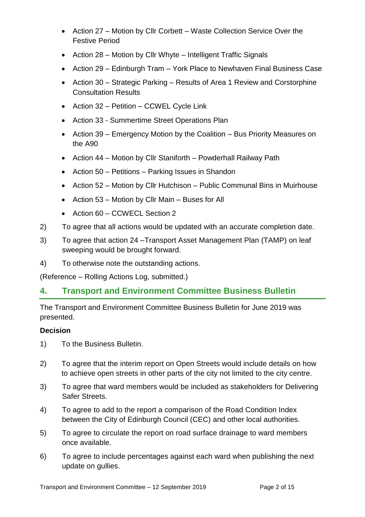- Action 27 Motion by Cllr Corbett Waste Collection Service Over the Festive Period
- Action 28 Motion by Cllr Whyte Intelligent Traffic Signals
- Action 29 Edinburgh Tram York Place to Newhaven Final Business Case
- Action 30 Strategic Parking Results of Area 1 Review and Corstorphine Consultation Results
- Action 32 Petition CCWEL Cycle Link
- Action 33 Summertime Street Operations Plan
- Action 39 Emergency Motion by the Coalition Bus Priority Measures on the A90
- Action 44 Motion by Cllr Staniforth Powderhall Railway Path
- Action 50 Petitions Parking Issues in Shandon
- Action 52 Motion by Cllr Hutchison Public Communal Bins in Muirhouse
- Action 53 Motion by Cllr Main Buses for All
- Action 60 CCWECL Section 2
- 2) To agree that all actions would be updated with an accurate completion date.
- 3) To agree that action 24 –Transport Asset Management Plan (TAMP) on leaf sweeping would be brought forward.
- 4) To otherwise note the outstanding actions.

(Reference – Rolling Actions Log, submitted.)

## **4. Transport and Environment Committee Business Bulletin**

The Transport and Environment Committee Business Bulletin for June 2019 was presented.

- 1) To the Business Bulletin.
- 2) To agree that the interim report on Open Streets would include details on how to achieve open streets in other parts of the city not limited to the city centre.
- 3) To agree that ward members would be included as stakeholders for Delivering Safer Streets.
- 4) To agree to add to the report a comparison of the Road Condition Index between the City of Edinburgh Council (CEC) and other local authorities.
- 5) To agree to circulate the report on road surface drainage to ward members once available.
- 6) To agree to include percentages against each ward when publishing the next update on gullies.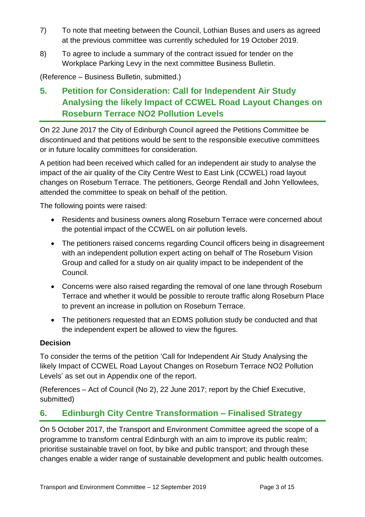- 7) To note that meeting between the Council, Lothian Buses and users as agreed at the previous committee was currently scheduled for 19 October 2019.
- 8) To agree to include a summary of the contract issued for tender on the Workplace Parking Levy in the next committee Business Bulletin.

(Reference – Business Bulletin, submitted.)

## **5. Petition for Consideration: Call for Independent Air Study Analysing the likely Impact of CCWEL Road Layout Changes on Roseburn Terrace NO2 Pollution Levels**

On 22 June 2017 the City of Edinburgh Council agreed the Petitions Committee be discontinued and that petitions would be sent to the responsible executive committees or in future locality committees for consideration.

A petition had been received which called for an independent air study to analyse the impact of the air quality of the City Centre West to East Link (CCWEL) road layout changes on Roseburn Terrace. The petitioners, George Rendall and John Yellowlees, attended the committee to speak on behalf of the petition.

The following points were raised:

- Residents and business owners along Roseburn Terrace were concerned about the potential impact of the CCWEL on air pollution levels.
- The petitioners raised concerns regarding Council officers being in disagreement with an independent pollution expert acting on behalf of The Roseburn Vision Group and called for a study on air quality impact to be independent of the Council.
- Concerns were also raised regarding the removal of one lane through Roseburn Terrace and whether it would be possible to reroute traffic along Roseburn Place to prevent an increase in pollution on Roseburn Terrace.
- The petitioners requested that an EDMS pollution study be conducted and that the independent expert be allowed to view the figures.

## **Decision**

To consider the terms of the petition 'Call for Independent Air Study Analysing the likely Impact of CCWEL Road Layout Changes on Roseburn Terrace NO2 Pollution Levels' as set out in Appendix one of the report.

(References – Act of Council (No 2), 22 June 2017; report by the Chief Executive, submitted)

## **6. Edinburgh City Centre Transformation – Finalised Strategy**

On 5 October 2017, the Transport and Environment Committee agreed the scope of a programme to transform central Edinburgh with an aim to improve its public realm; prioritise sustainable travel on foot, by bike and public transport; and through these changes enable a wider range of sustainable development and public health outcomes.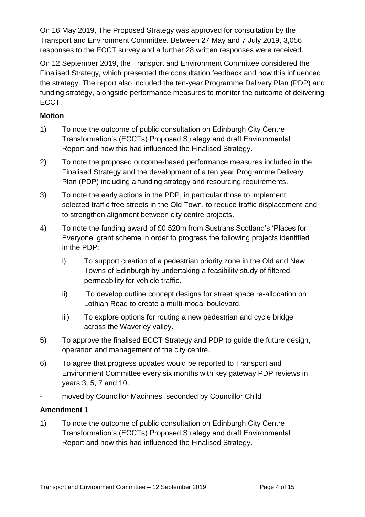On 16 May 2019, The Proposed Strategy was approved for consultation by the Transport and Environment Committee. Between 27 May and 7 July 2019, 3,056 responses to the ECCT survey and a further 28 written responses were received.

On 12 September 2019, the Transport and Environment Committee considered the Finalised Strategy, which presented the consultation feedback and how this influenced the strategy. The report also included the ten-year Programme Delivery Plan (PDP) and funding strategy, alongside performance measures to monitor the outcome of delivering ECCT.

## **Motion**

- 1) To note the outcome of public consultation on Edinburgh City Centre Transformation's (ECCTs) Proposed Strategy and draft Environmental Report and how this had influenced the Finalised Strategy.
- 2) To note the proposed outcome-based performance measures included in the Finalised Strategy and the development of a ten year Programme Delivery Plan (PDP) including a funding strategy and resourcing requirements.
- 3) To note the early actions in the PDP, in particular those to implement selected traffic free streets in the Old Town, to reduce traffic displacement and to strengthen alignment between city centre projects.
- 4) To note the funding award of £0.520m from Sustrans Scotland's 'Places for Everyone' grant scheme in order to progress the following projects identified in the PDP:
	- i) To support creation of a pedestrian priority zone in the Old and New Towns of Edinburgh by undertaking a feasibility study of filtered permeability for vehicle traffic.
	- ii) To develop outline concept designs for street space re-allocation on Lothian Road to create a multi-modal boulevard.
	- iii) To explore options for routing a new pedestrian and cycle bridge across the Waverley valley.
- 5) To approve the finalised ECCT Strategy and PDP to guide the future design, operation and management of the city centre.
- 6) To agree that progress updates would be reported to Transport and Environment Committee every six months with key gateway PDP reviews in years 3, 5, 7 and 10.
- moved by Councillor Macinnes, seconded by Councillor Child

## **Amendment 1**

1) To note the outcome of public consultation on Edinburgh City Centre Transformation's (ECCTs) Proposed Strategy and draft Environmental Report and how this had influenced the Finalised Strategy.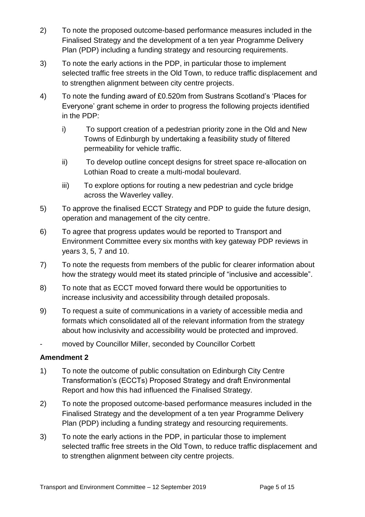- 2) To note the proposed outcome-based performance measures included in the Finalised Strategy and the development of a ten year Programme Delivery Plan (PDP) including a funding strategy and resourcing requirements.
- 3) To note the early actions in the PDP, in particular those to implement selected traffic free streets in the Old Town, to reduce traffic displacement and to strengthen alignment between city centre projects.
- 4) To note the funding award of £0.520m from Sustrans Scotland's 'Places for Everyone' grant scheme in order to progress the following projects identified in the PDP:
	- i) To support creation of a pedestrian priority zone in the Old and New Towns of Edinburgh by undertaking a feasibility study of filtered permeability for vehicle traffic.
	- ii) To develop outline concept designs for street space re-allocation on Lothian Road to create a multi-modal boulevard.
	- iii) To explore options for routing a new pedestrian and cycle bridge across the Waverley valley.
- 5) To approve the finalised ECCT Strategy and PDP to guide the future design, operation and management of the city centre.
- 6) To agree that progress updates would be reported to Transport and Environment Committee every six months with key gateway PDP reviews in years 3, 5, 7 and 10.
- 7) To note the requests from members of the public for clearer information about how the strategy would meet its stated principle of "inclusive and accessible".
- 8) To note that as ECCT moved forward there would be opportunities to increase inclusivity and accessibility through detailed proposals.
- 9) To request a suite of communications in a variety of accessible media and formats which consolidated all of the relevant information from the strategy about how inclusivity and accessibility would be protected and improved.
- moved by Councillor Miller, seconded by Councillor Corbett

- 1) To note the outcome of public consultation on Edinburgh City Centre Transformation's (ECCTs) Proposed Strategy and draft Environmental Report and how this had influenced the Finalised Strategy.
- 2) To note the proposed outcome-based performance measures included in the Finalised Strategy and the development of a ten year Programme Delivery Plan (PDP) including a funding strategy and resourcing requirements.
- 3) To note the early actions in the PDP, in particular those to implement selected traffic free streets in the Old Town, to reduce traffic displacement and to strengthen alignment between city centre projects.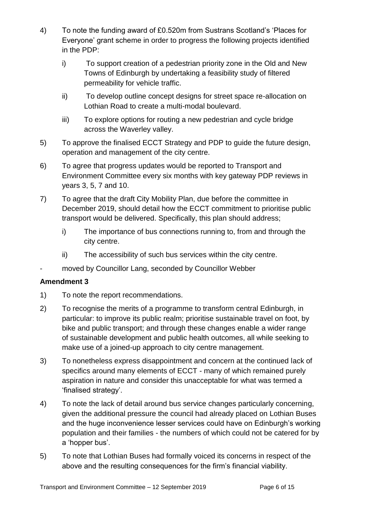- 4) To note the funding award of £0.520m from Sustrans Scotland's 'Places for Everyone' grant scheme in order to progress the following projects identified in the PDP:
	- i) To support creation of a pedestrian priority zone in the Old and New Towns of Edinburgh by undertaking a feasibility study of filtered permeability for vehicle traffic.
	- ii) To develop outline concept designs for street space re-allocation on Lothian Road to create a multi-modal boulevard.
	- iii) To explore options for routing a new pedestrian and cycle bridge across the Waverley valley.
- 5) To approve the finalised ECCT Strategy and PDP to guide the future design, operation and management of the city centre.
- 6) To agree that progress updates would be reported to Transport and Environment Committee every six months with key gateway PDP reviews in years 3, 5, 7 and 10.
- 7) To agree that the draft City Mobility Plan, due before the committee in December 2019, should detail how the ECCT commitment to prioritise public transport would be delivered. Specifically, this plan should address;
	- i) The importance of bus connections running to, from and through the city centre.
	- ii) The accessibility of such bus services within the city centre.
- moved by Councillor Lang, seconded by Councillor Webber

- 1) To note the report recommendations.
- 2) To recognise the merits of a programme to transform central Edinburgh, in particular: to improve its public realm; prioritise sustainable travel on foot, by bike and public transport; and through these changes enable a wider range of sustainable development and public health outcomes, all while seeking to make use of a joined-up approach to city centre management.
- 3) To nonetheless express disappointment and concern at the continued lack of specifics around many elements of ECCT - many of which remained purely aspiration in nature and consider this unacceptable for what was termed a 'finalised strategy'.
- 4) To note the lack of detail around bus service changes particularly concerning, given the additional pressure the council had already placed on Lothian Buses and the huge inconvenience lesser services could have on Edinburgh's working population and their families - the numbers of which could not be catered for by a 'hopper bus'.
- 5) To note that Lothian Buses had formally voiced its concerns in respect of the above and the resulting consequences for the firm's financial viability.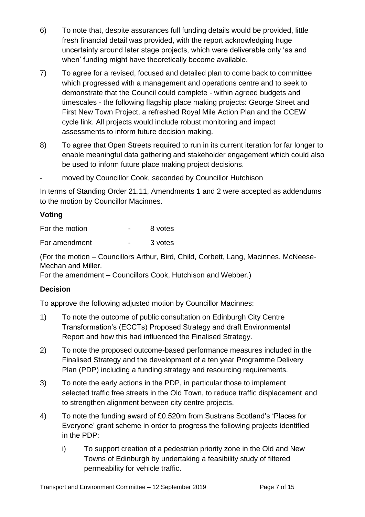- 6) To note that, despite assurances full funding details would be provided, little fresh financial detail was provided, with the report acknowledging huge uncertainty around later stage projects, which were deliverable only 'as and when' funding might have theoretically become available.
- 7) To agree for a revised, focused and detailed plan to come back to committee which progressed with a management and operations centre and to seek to demonstrate that the Council could complete - within agreed budgets and timescales - the following flagship place making projects: George Street and First New Town Project, a refreshed Royal Mile Action Plan and the CCEW cycle link. All projects would include robust monitoring and impact assessments to inform future decision making.
- 8) To agree that Open Streets required to run in its current iteration for far longer to enable meaningful data gathering and stakeholder engagement which could also be used to inform future place making project decisions.
- moved by Councillor Cook, seconded by Councillor Hutchison

In terms of Standing Order 21.11, Amendments 1 and 2 were accepted as addendums to the motion by Councillor Macinnes.

## **Voting**

| For the motion | 8 votes |
|----------------|---------|
| For amendment  | 3 votes |

(For the motion – Councillors Arthur, Bird, Child, Corbett, Lang, Macinnes, McNeese-Mechan and Miller.

For the amendment – Councillors Cook, Hutchison and Webber.)

## **Decision**

To approve the following adjusted motion by Councillor Macinnes:

- 1) To note the outcome of public consultation on Edinburgh City Centre Transformation's (ECCTs) Proposed Strategy and draft Environmental Report and how this had influenced the Finalised Strategy.
- 2) To note the proposed outcome-based performance measures included in the Finalised Strategy and the development of a ten year Programme Delivery Plan (PDP) including a funding strategy and resourcing requirements.
- 3) To note the early actions in the PDP, in particular those to implement selected traffic free streets in the Old Town, to reduce traffic displacement and to strengthen alignment between city centre projects.
- 4) To note the funding award of £0.520m from Sustrans Scotland's 'Places for Everyone' grant scheme in order to progress the following projects identified in the PDP:
	- i) To support creation of a pedestrian priority zone in the Old and New Towns of Edinburgh by undertaking a feasibility study of filtered permeability for vehicle traffic.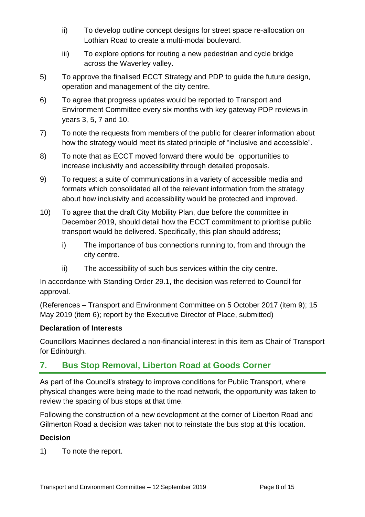- ii) To develop outline concept designs for street space re-allocation on Lothian Road to create a multi-modal boulevard.
- iii) To explore options for routing a new pedestrian and cycle bridge across the Waverley valley.
- 5) To approve the finalised ECCT Strategy and PDP to guide the future design, operation and management of the city centre.
- 6) To agree that progress updates would be reported to Transport and Environment Committee every six months with key gateway PDP reviews in years 3, 5, 7 and 10.
- 7) To note the requests from members of the public for clearer information about how the strategy would meet its stated principle of "inclusive and accessible".
- 8) To note that as ECCT moved forward there would be opportunities to increase inclusivity and accessibility through detailed proposals.
- 9) To request a suite of communications in a variety of accessible media and formats which consolidated all of the relevant information from the strategy about how inclusivity and accessibility would be protected and improved.
- 10) To agree that the draft City Mobility Plan, due before the committee in December 2019, should detail how the ECCT commitment to prioritise public transport would be delivered. Specifically, this plan should address;
	- i) The importance of bus connections running to, from and through the city centre.
	- ii) The accessibility of such bus services within the city centre.

In accordance with Standing Order 29.1, the decision was referred to Council for approval.

(References – Transport and Environment Committee on 5 October 2017 (item 9); 15 May 2019 (item 6); report by the Executive Director of Place, submitted)

## **Declaration of Interests**

Councillors Macinnes declared a non-financial interest in this item as Chair of Transport for Edinburgh.

## **7. Bus Stop Removal, Liberton Road at Goods Corner**

As part of the Council's strategy to improve conditions for Public Transport, where physical changes were being made to the road network, the opportunity was taken to review the spacing of bus stops at that time.

Following the construction of a new development at the corner of Liberton Road and Gilmerton Road a decision was taken not to reinstate the bus stop at this location.

## **Decision**

1) To note the report.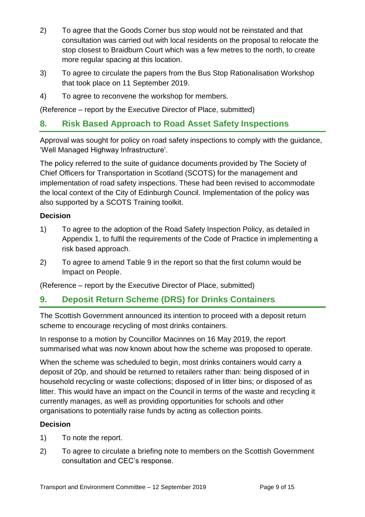- 2) To agree that the Goods Corner bus stop would not be reinstated and that consultation was carried out with local residents on the proposal to relocate the stop closest to Braidburn Court which was a few metres to the north, to create more regular spacing at this location.
- 3) To agree to circulate the papers from the Bus Stop Rationalisation Workshop that took place on 11 September 2019.
- 4) To agree to reconvene the workshop for members.

(Reference – report by the Executive Director of Place, submitted)

## **8. Risk Based Approach to Road Asset Safety Inspections**

Approval was sought for policy on road safety inspections to comply with the guidance, 'Well Managed Highway Infrastructure'.

The policy referred to the suite of guidance documents provided by The Society of Chief Officers for Transportation in Scotland (SCOTS) for the management and implementation of road safety inspections. These had been revised to accommodate the local context of the City of Edinburgh Council. Implementation of the policy was also supported by a SCOTS Training toolkit.

#### **Decision**

- 1) To agree to the adoption of the Road Safety Inspection Policy, as detailed in Appendix 1, to fulfil the requirements of the Code of Practice in implementing a risk based approach.
- 2) To agree to amend Table 9 in the report so that the first column would be Impact on People.

(Reference – report by the Executive Director of Place, submitted)

## **9. Deposit Return Scheme (DRS) for Drinks Containers**

The Scottish Government announced its intention to proceed with a deposit return scheme to encourage recycling of most drinks containers.

In response to a motion by Councillor Macinnes on 16 May 2019, the report summarised what was now known about how the scheme was proposed to operate.

When the scheme was scheduled to begin, most drinks containers would carry a deposit of 20p, and should be returned to retailers rather than: being disposed of in household recycling or waste collections; disposed of in litter bins; or disposed of as litter. This would have an impact on the Council in terms of the waste and recycling it currently manages, as well as providing opportunities for schools and other organisations to potentially raise funds by acting as collection points.

- 1) To note the report.
- 2) To agree to circulate a briefing note to members on the Scottish Government consultation and CEC's response.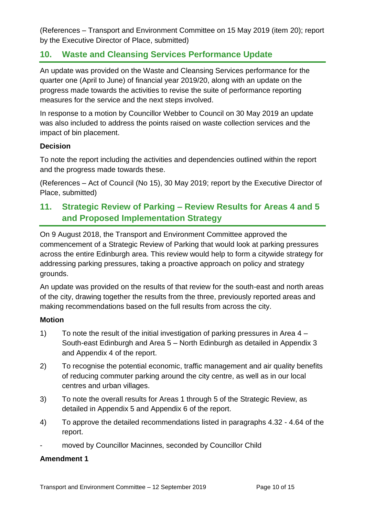(References – Transport and Environment Committee on 15 May 2019 (item 20); report by the Executive Director of Place, submitted)

## **10. Waste and Cleansing Services Performance Update**

An update was provided on the Waste and Cleansing Services performance for the quarter one (April to June) of financial year 2019/20, along with an update on the progress made towards the activities to revise the suite of performance reporting measures for the service and the next steps involved.

In response to a motion by Councillor Webber to Council on 30 May 2019 an update was also included to address the points raised on waste collection services and the impact of bin placement.

#### **Decision**

To note the report including the activities and dependencies outlined within the report and the progress made towards these.

(References – Act of Council (No 15), 30 May 2019; report by the Executive Director of Place, submitted)

## **11. Strategic Review of Parking – Review Results for Areas 4 and 5 and Proposed Implementation Strategy**

On 9 August 2018, the Transport and Environment Committee approved the commencement of a Strategic Review of Parking that would look at parking pressures across the entire Edinburgh area. This review would help to form a citywide strategy for addressing parking pressures, taking a proactive approach on policy and strategy grounds.

An update was provided on the results of that review for the south-east and north areas of the city, drawing together the results from the three, previously reported areas and making recommendations based on the full results from across the city.

#### **Motion**

- 1) To note the result of the initial investigation of parking pressures in Area 4 South-east Edinburgh and Area 5 – North Edinburgh as detailed in Appendix 3 and Appendix 4 of the report.
- 2) To recognise the potential economic, traffic management and air quality benefits of reducing commuter parking around the city centre, as well as in our local centres and urban villages.
- 3) To note the overall results for Areas 1 through 5 of the Strategic Review, as detailed in Appendix 5 and Appendix 6 of the report.
- 4) To approve the detailed recommendations listed in paragraphs 4.32 4.64 of the report.
- moved by Councillor Macinnes, seconded by Councillor Child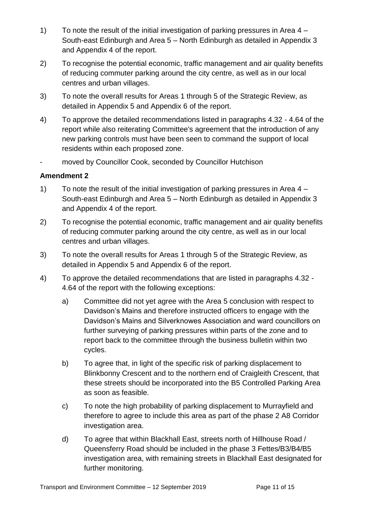- 1) To note the result of the initial investigation of parking pressures in Area 4 South-east Edinburgh and Area 5 – North Edinburgh as detailed in Appendix 3 and Appendix 4 of the report.
- 2) To recognise the potential economic, traffic management and air quality benefits of reducing commuter parking around the city centre, as well as in our local centres and urban villages.
- 3) To note the overall results for Areas 1 through 5 of the Strategic Review, as detailed in Appendix 5 and Appendix 6 of the report.
- 4) To approve the detailed recommendations listed in paragraphs 4.32 4.64 of the report while also reiterating Committee's agreement that the introduction of any new parking controls must have been seen to command the support of local residents within each proposed zone.
- moved by Councillor Cook, seconded by Councillor Hutchison

- 1) To note the result of the initial investigation of parking pressures in Area 4 South-east Edinburgh and Area 5 – North Edinburgh as detailed in Appendix 3 and Appendix 4 of the report.
- 2) To recognise the potential economic, traffic management and air quality benefits of reducing commuter parking around the city centre, as well as in our local centres and urban villages.
- 3) To note the overall results for Areas 1 through 5 of the Strategic Review, as detailed in Appendix 5 and Appendix 6 of the report.
- 4) To approve the detailed recommendations that are listed in paragraphs 4.32 4.64 of the report with the following exceptions:
	- a) Committee did not yet agree with the Area 5 conclusion with respect to Davidson's Mains and therefore instructed officers to engage with the Davidson's Mains and Silverknowes Association and ward councillors on further surveying of parking pressures within parts of the zone and to report back to the committee through the business bulletin within two cycles.
	- b) To agree that, in light of the specific risk of parking displacement to Blinkbonny Crescent and to the northern end of Craigleith Crescent, that these streets should be incorporated into the B5 Controlled Parking Area as soon as feasible.
	- c) To note the high probability of parking displacement to Murrayfield and therefore to agree to include this area as part of the phase 2 A8 Corridor investigation area.
	- d) To agree that within Blackhall East, streets north of Hillhouse Road / Queensferry Road should be included in the phase 3 Fettes/B3/B4/B5 investigation area, with remaining streets in Blackhall East designated for further monitoring.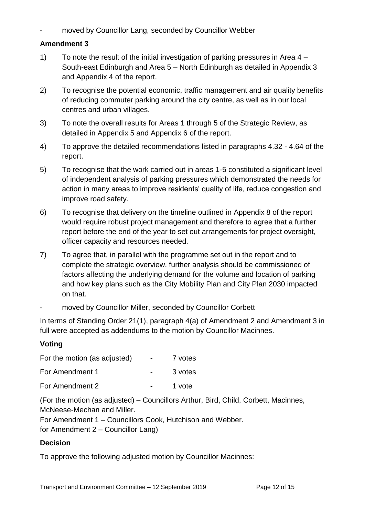moved by Councillor Lang, seconded by Councillor Webber

#### **Amendment 3**

- 1) To note the result of the initial investigation of parking pressures in Area 4 South-east Edinburgh and Area 5 – North Edinburgh as detailed in Appendix 3 and Appendix 4 of the report.
- 2) To recognise the potential economic, traffic management and air quality benefits of reducing commuter parking around the city centre, as well as in our local centres and urban villages.
- 3) To note the overall results for Areas 1 through 5 of the Strategic Review, as detailed in Appendix 5 and Appendix 6 of the report.
- 4) To approve the detailed recommendations listed in paragraphs 4.32 4.64 of the report.
- 5) To recognise that the work carried out in areas 1-5 constituted a significant level of independent analysis of parking pressures which demonstrated the needs for action in many areas to improve residents' quality of life, reduce congestion and improve road safety.
- 6) To recognise that delivery on the timeline outlined in Appendix 8 of the report would require robust project management and therefore to agree that a further report before the end of the year to set out arrangements for project oversight, officer capacity and resources needed.
- 7) To agree that, in parallel with the programme set out in the report and to complete the strategic overview, further analysis should be commissioned of factors affecting the underlying demand for the volume and location of parking and how key plans such as the City Mobility Plan and City Plan 2030 impacted on that.
- moved by Councillor Miller, seconded by Councillor Corbett

In terms of Standing Order 21(1), paragraph 4(a) of Amendment 2 and Amendment 3 in full were accepted as addendums to the motion by Councillor Macinnes.

## **Voting**

| For the motion (as adjusted) | $\sim$ | 7 votes |
|------------------------------|--------|---------|
| For Amendment 1              | $\sim$ | 3 votes |
| For Amendment 2              |        | 1 vote  |

(For the motion (as adjusted) – Councillors Arthur, Bird, Child, Corbett, Macinnes, McNeese-Mechan and Miller.

For Amendment 1 – Councillors Cook, Hutchison and Webber.

for Amendment 2 – Councillor Lang)

## **Decision**

To approve the following adjusted motion by Councillor Macinnes: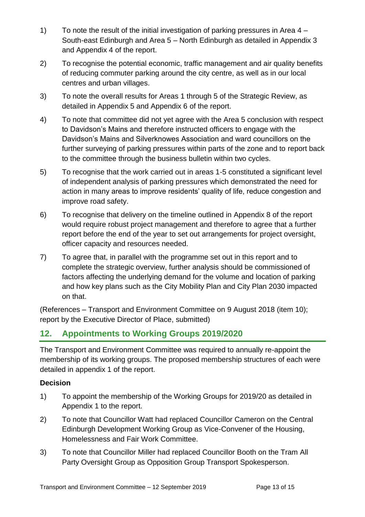- 1) To note the result of the initial investigation of parking pressures in Area 4 South-east Edinburgh and Area 5 – North Edinburgh as detailed in Appendix 3 and Appendix 4 of the report.
- 2) To recognise the potential economic, traffic management and air quality benefits of reducing commuter parking around the city centre, as well as in our local centres and urban villages.
- 3) To note the overall results for Areas 1 through 5 of the Strategic Review, as detailed in Appendix 5 and Appendix 6 of the report.
- 4) To note that committee did not yet agree with the Area 5 conclusion with respect to Davidson's Mains and therefore instructed officers to engage with the Davidson's Mains and Silverknowes Association and ward councillors on the further surveying of parking pressures within parts of the zone and to report back to the committee through the business bulletin within two cycles.
- 5) To recognise that the work carried out in areas 1-5 constituted a significant level of independent analysis of parking pressures which demonstrated the need for action in many areas to improve residents' quality of life, reduce congestion and improve road safety.
- 6) To recognise that delivery on the timeline outlined in Appendix 8 of the report would require robust project management and therefore to agree that a further report before the end of the year to set out arrangements for project oversight, officer capacity and resources needed.
- 7) To agree that, in parallel with the programme set out in this report and to complete the strategic overview, further analysis should be commissioned of factors affecting the underlying demand for the volume and location of parking and how key plans such as the City Mobility Plan and City Plan 2030 impacted on that.

(References – Transport and Environment Committee on 9 August 2018 (item 10); report by the Executive Director of Place, submitted)

## **12. Appointments to Working Groups 2019/2020**

The Transport and Environment Committee was required to annually re-appoint the membership of its working groups. The proposed membership structures of each were detailed in appendix 1 of the report.

- 1) To appoint the membership of the Working Groups for 2019/20 as detailed in Appendix 1 to the report.
- 2) To note that Councillor Watt had replaced Councillor Cameron on the Central Edinburgh Development Working Group as Vice-Convener of the Housing, Homelessness and Fair Work Committee.
- 3) To note that Councillor Miller had replaced Councillor Booth on the Tram All Party Oversight Group as Opposition Group Transport Spokesperson.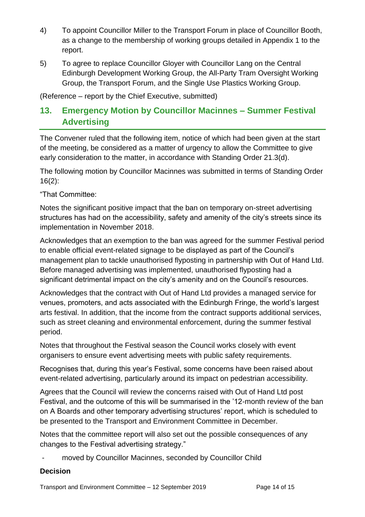- 4) To appoint Councillor Miller to the Transport Forum in place of Councillor Booth, as a change to the membership of working groups detailed in Appendix 1 to the report.
- 5) To agree to replace Councillor Gloyer with Councillor Lang on the Central Edinburgh Development Working Group, the All-Party Tram Oversight Working Group, the Transport Forum, and the Single Use Plastics Working Group.

(Reference – report by the Chief Executive, submitted)

## **13. Emergency Motion by Councillor Macinnes – Summer Festival Advertising**

The Convener ruled that the following item, notice of which had been given at the start of the meeting, be considered as a matter of urgency to allow the Committee to give early consideration to the matter, in accordance with Standing Order 21.3(d).

The following motion by Councillor Macinnes was submitted in terms of Standing Order 16(2):

"That Committee:

Notes the significant positive impact that the ban on temporary on-street advertising structures has had on the accessibility, safety and amenity of the city's streets since its implementation in November 2018.

Acknowledges that an exemption to the ban was agreed for the summer Festival period to enable official event-related signage to be displayed as part of the Council's management plan to tackle unauthorised flyposting in partnership with Out of Hand Ltd. Before managed advertising was implemented, unauthorised flyposting had a significant detrimental impact on the city's amenity and on the Council's resources.

Acknowledges that the contract with Out of Hand Ltd provides a managed service for venues, promoters, and acts associated with the Edinburgh Fringe, the world's largest arts festival. In addition, that the income from the contract supports additional services, such as street cleaning and environmental enforcement, during the summer festival period.

Notes that throughout the Festival season the Council works closely with event organisers to ensure event advertising meets with public safety requirements.

Recognises that, during this year's Festival, some concerns have been raised about event-related advertising, particularly around its impact on pedestrian accessibility.

Agrees that the Council will review the concerns raised with Out of Hand Ltd post Festival, and the outcome of this will be summarised in the '12-month review of the ban on A Boards and other temporary advertising structures' report, which is scheduled to be presented to the Transport and Environment Committee in December.

Notes that the committee report will also set out the possible consequences of any changes to the Festival advertising strategy."

moved by Councillor Macinnes, seconded by Councillor Child